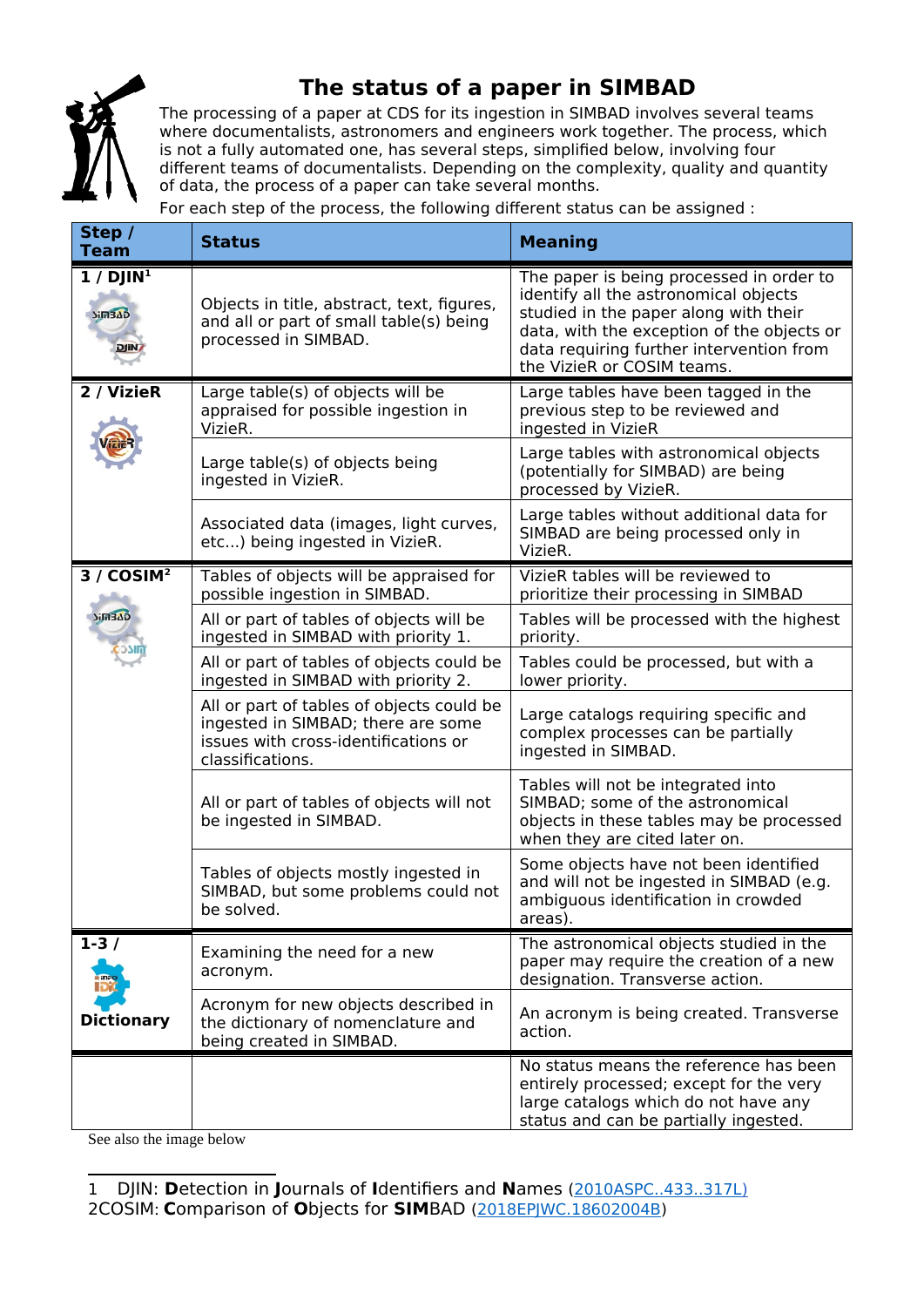

## **The status of a paper in SIMBAD**

The processing of a paper at CDS for its ingestion in SIMBAD involves several teams where documentalists, astronomers and engineers work together. The process, which is not a fully automated one, has several steps, simplified below, involving four different teams of documentalists. Depending on the complexity, quality and quantity of data, the process of a paper can take several months.

For each step of the process, the following different status can be assigned :

| Step /<br><b>Team</b>                                                        | <b>Status</b>                                                                                                                               | <b>Meaning</b>                                                                                                                                                                                                                                     |
|------------------------------------------------------------------------------|---------------------------------------------------------------------------------------------------------------------------------------------|----------------------------------------------------------------------------------------------------------------------------------------------------------------------------------------------------------------------------------------------------|
| $1/$ DJIN <sup>1</sup><br>$5i\overline{m}3\overline{\Delta}D$<br><b>DJIN</b> | Objects in title, abstract, text, figures,<br>and all or part of small table(s) being<br>processed in SIMBAD.                               | The paper is being processed in order to<br>identify all the astronomical objects<br>studied in the paper along with their<br>data, with the exception of the objects or<br>data requiring further intervention from<br>the VizieR or COSIM teams. |
| 2 / VizieR                                                                   | Large table(s) of objects will be<br>appraised for possible ingestion in<br>VizieR.                                                         | Large tables have been tagged in the<br>previous step to be reviewed and<br>ingested in VizieR                                                                                                                                                     |
|                                                                              | Large table(s) of objects being<br>ingested in VizieR.                                                                                      | Large tables with astronomical objects<br>(potentially for SIMBAD) are being<br>processed by VizieR.                                                                                                                                               |
|                                                                              | Associated data (images, light curves,<br>etc) being ingested in VizieR.                                                                    | Large tables without additional data for<br>SIMBAD are being processed only in<br>VizieR.                                                                                                                                                          |
| 3/COSIM <sup>2</sup><br><b>Sim3AD</b>                                        | Tables of objects will be appraised for<br>possible ingestion in SIMBAD.                                                                    | VizieR tables will be reviewed to<br>prioritize their processing in SIMBAD                                                                                                                                                                         |
|                                                                              | All or part of tables of objects will be<br>ingested in SIMBAD with priority 1.                                                             | Tables will be processed with the highest<br>priority.                                                                                                                                                                                             |
|                                                                              | All or part of tables of objects could be<br>ingested in SIMBAD with priority 2.                                                            | Tables could be processed, but with a<br>lower priority.                                                                                                                                                                                           |
|                                                                              | All or part of tables of objects could be<br>ingested in SIMBAD; there are some<br>issues with cross-identifications or<br>classifications. | Large catalogs requiring specific and<br>complex processes can be partially<br>ingested in SIMBAD.                                                                                                                                                 |
|                                                                              | All or part of tables of objects will not<br>be ingested in SIMBAD.                                                                         | Tables will not be integrated into<br>SIMBAD; some of the astronomical<br>objects in these tables may be processed<br>when they are cited later on.                                                                                                |
|                                                                              | Tables of objects mostly ingested in<br>SIMBAD, but some problems could not<br>be solved.                                                   | Some objects have not been identified<br>and will not be ingested in SIMBAD (e.g.<br>ambiguous identification in crowded<br>areas).                                                                                                                |
| $1-3/$<br><b>Dictionary</b>                                                  | Examining the need for a new<br>acronym.                                                                                                    | The astronomical objects studied in the<br>paper may require the creation of a new<br>designation. Transverse action.                                                                                                                              |
|                                                                              | Acronym for new objects described in<br>the dictionary of nomenclature and<br>being created in SIMBAD.                                      | An acronym is being created. Transverse<br>action.                                                                                                                                                                                                 |
|                                                                              |                                                                                                                                             | No status means the reference has been<br>entirely processed; except for the very<br>large catalogs which do not have any<br>status and can be partially ingested.                                                                                 |

See also the image below

<span id="page-0-1"></span><span id="page-0-0"></span><sup>1</sup> DJIN: **D**etection in **J**ournals of **I**dentifiers and **N**ames [\( 2010ASPC..433..317L \)](https://ui.adsabs.harvard.edu/#abs/2010ASPC..433..317L/abstract) 2COSIM: **C**omparison of **O**bjects for **SIM**BAD [\(2018EPJWC.18602004B\)](https://www.epj-conferences.org/articles/epjconf/abs/2018/21/epjconf_lisaviii2018_02004/epjconf_lisaviii2018_02004.html)